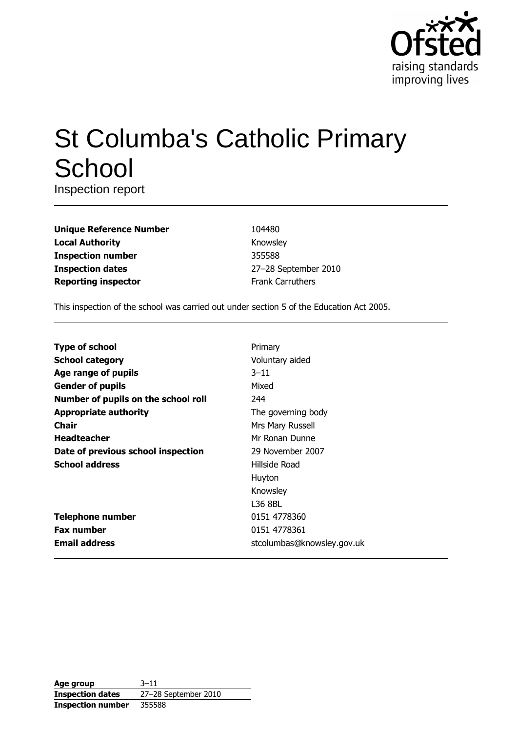

# **St Columba's Catholic Primary** School

Inspection report

| <b>Unique Reference Number</b> |
|--------------------------------|
| <b>Local Authority</b>         |
| <b>Inspection number</b>       |
| <b>Inspection dates</b>        |
| <b>Reporting inspector</b>     |

104480 Knowsley 355588 27-28 September 2010 Frank Carruthers

This inspection of the school was carried out under section 5 of the Education Act 2005.

| <b>Type of school</b>               | Primary                    |
|-------------------------------------|----------------------------|
| <b>School category</b>              | Voluntary aided            |
| Age range of pupils                 | $3 - 11$                   |
| <b>Gender of pupils</b>             | Mixed                      |
| Number of pupils on the school roll | 244                        |
| <b>Appropriate authority</b>        | The governing body         |
| <b>Chair</b>                        | Mrs Mary Russell           |
| <b>Headteacher</b>                  | Mr Ronan Dunne             |
| Date of previous school inspection  | 29 November 2007           |
| <b>School address</b>               | Hillside Road              |
|                                     | Huyton                     |
|                                     | Knowsley                   |
|                                     | L36 8BL                    |
| <b>Telephone number</b>             | 0151 4778360               |
| <b>Fax number</b>                   | 0151 4778361               |
| <b>Email address</b>                | stcolumbas@knowsley.gov.uk |

| Age group                | $3 - 11$             |
|--------------------------|----------------------|
| <b>Inspection dates</b>  | 27-28 September 2010 |
| <b>Inspection number</b> | 355588               |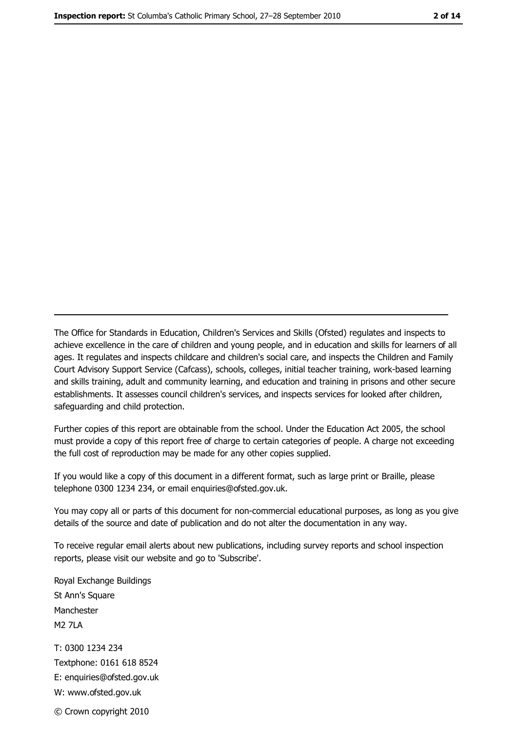The Office for Standards in Education, Children's Services and Skills (Ofsted) regulates and inspects to achieve excellence in the care of children and young people, and in education and skills for learners of all ages. It regulates and inspects childcare and children's social care, and inspects the Children and Family Court Advisory Support Service (Cafcass), schools, colleges, initial teacher training, work-based learning and skills training, adult and community learning, and education and training in prisons and other secure establishments. It assesses council children's services, and inspects services for looked after children, safeguarding and child protection.

Further copies of this report are obtainable from the school. Under the Education Act 2005, the school must provide a copy of this report free of charge to certain categories of people. A charge not exceeding the full cost of reproduction may be made for any other copies supplied.

If you would like a copy of this document in a different format, such as large print or Braille, please telephone 0300 1234 234, or email enquiries@ofsted.gov.uk.

You may copy all or parts of this document for non-commercial educational purposes, as long as you give details of the source and date of publication and do not alter the documentation in any way.

To receive regular email alerts about new publications, including survey reports and school inspection reports, please visit our website and go to 'Subscribe'.

Royal Exchange Buildings St Ann's Square Manchester **M2 7I A** T: 0300 1234 234 Textphone: 0161 618 8524 E: enquiries@ofsted.gov.uk W: www.ofsted.gov.uk

© Crown copyright 2010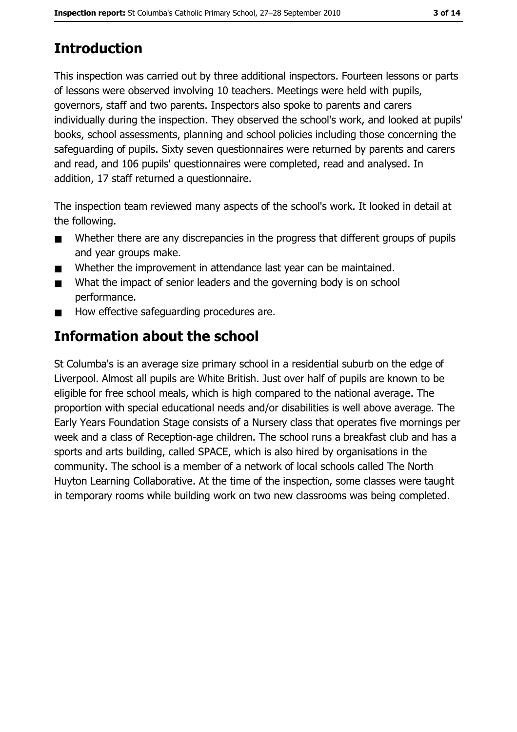# **Introduction**

This inspection was carried out by three additional inspectors. Fourteen lessons or parts of lessons were observed involving 10 teachers. Meetings were held with pupils, governors, staff and two parents. Inspectors also spoke to parents and carers individually during the inspection. They observed the school's work, and looked at pupils' books, school assessments, planning and school policies including those concerning the safeguarding of pupils. Sixty seven guestionnaires were returned by parents and carers and read, and 106 pupils' questionnaires were completed, read and analysed. In addition, 17 staff returned a questionnaire.

The inspection team reviewed many aspects of the school's work. It looked in detail at the following.

- Whether there are any discrepancies in the progress that different groups of pupils  $\blacksquare$ and year groups make.
- Whether the improvement in attendance last year can be maintained.  $\blacksquare$
- What the impact of senior leaders and the governing body is on school  $\blacksquare$ performance.
- How effective safeguarding procedures are.  $\blacksquare$

# **Information about the school**

St Columba's is an average size primary school in a residential suburb on the edge of Liverpool. Almost all pupils are White British. Just over half of pupils are known to be eligible for free school meals, which is high compared to the national average. The proportion with special educational needs and/or disabilities is well above average. The Early Years Foundation Stage consists of a Nursery class that operates five mornings per week and a class of Reception-age children. The school runs a breakfast club and has a sports and arts building, called SPACE, which is also hired by organisations in the community. The school is a member of a network of local schools called The North Huyton Learning Collaborative. At the time of the inspection, some classes were taught in temporary rooms while building work on two new classrooms was being completed.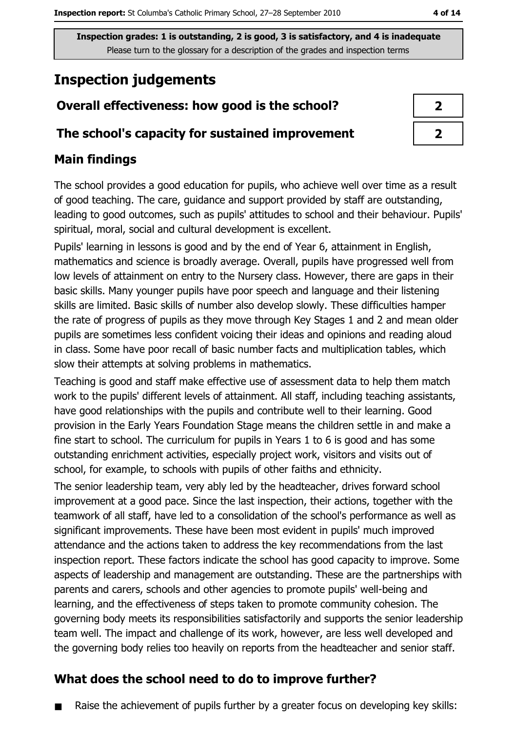# **Inspection judgements**

# Overall effectiveness: how good is the school?

## The school's capacity for sustained improvement

## **Main findings**

The school provides a good education for pupils, who achieve well over time as a result of good teaching. The care, guidance and support provided by staff are outstanding, leading to good outcomes, such as pupils' attitudes to school and their behaviour. Pupils' spiritual, moral, social and cultural development is excellent.

Pupils' learning in lessons is good and by the end of Year 6, attainment in English, mathematics and science is broadly average. Overall, pupils have progressed well from low levels of attainment on entry to the Nursery class. However, there are gaps in their basic skills. Many younger pupils have poor speech and language and their listening skills are limited. Basic skills of number also develop slowly. These difficulties hamper the rate of progress of pupils as they move through Key Stages 1 and 2 and mean older pupils are sometimes less confident voicing their ideas and opinions and reading aloud in class. Some have poor recall of basic number facts and multiplication tables, which slow their attempts at solving problems in mathematics.

Teaching is good and staff make effective use of assessment data to help them match work to the pupils' different levels of attainment. All staff, including teaching assistants, have good relationships with the pupils and contribute well to their learning. Good provision in the Early Years Foundation Stage means the children settle in and make a fine start to school. The curriculum for pupils in Years 1 to 6 is good and has some outstanding enrichment activities, especially project work, visitors and visits out of school, for example, to schools with pupils of other faiths and ethnicity.

The senior leadership team, very ably led by the headteacher, drives forward school improvement at a good pace. Since the last inspection, their actions, together with the teamwork of all staff, have led to a consolidation of the school's performance as well as significant improvements. These have been most evident in pupils' much improved attendance and the actions taken to address the key recommendations from the last inspection report. These factors indicate the school has good capacity to improve. Some aspects of leadership and management are outstanding. These are the partnerships with parents and carers, schools and other agencies to promote pupils' well-being and learning, and the effectiveness of steps taken to promote community cohesion. The governing body meets its responsibilities satisfactorily and supports the senior leadership team well. The impact and challenge of its work, however, are less well developed and the governing body relies too heavily on reports from the headteacher and senior staff.

## What does the school need to do to improve further?

Raise the achievement of pupils further by a greater focus on developing key skills:

4 of 14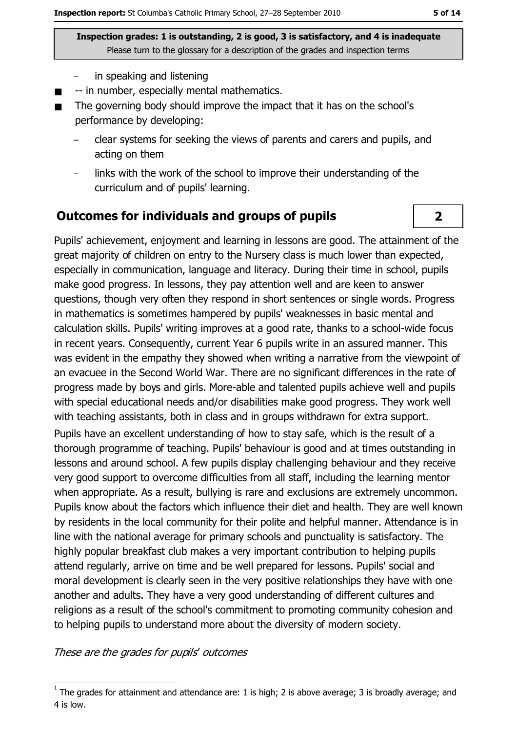- in speaking and listening
- -- in number, especially mental mathematics.  $\blacksquare$
- The governing body should improve the impact that it has on the school's  $\blacksquare$ performance by developing:
	- clear systems for seeking the views of parents and carers and pupils, and acting on them
	- links with the work of the school to improve their understanding of the curriculum and of pupils' learning.

#### **Outcomes for individuals and groups of pupils**

Pupils' achievement, enjoyment and learning in lessons are good. The attainment of the great majority of children on entry to the Nursery class is much lower than expected, especially in communication, language and literacy. During their time in school, pupils make good progress. In lessons, they pay attention well and are keen to answer questions, though very often they respond in short sentences or single words. Progress in mathematics is sometimes hampered by pupils' weaknesses in basic mental and calculation skills. Pupils' writing improves at a good rate, thanks to a school-wide focus in recent years. Consequently, current Year 6 pupils write in an assured manner. This was evident in the empathy they showed when writing a narrative from the viewpoint of an evacuee in the Second World War. There are no significant differences in the rate of progress made by boys and girls. More-able and talented pupils achieve well and pupils with special educational needs and/or disabilities make good progress. They work well with teaching assistants, both in class and in groups withdrawn for extra support.

Pupils have an excellent understanding of how to stay safe, which is the result of a thorough programme of teaching. Pupils' behaviour is good and at times outstanding in lessons and around school. A few pupils display challenging behaviour and they receive very good support to overcome difficulties from all staff, including the learning mentor when appropriate. As a result, bullying is rare and exclusions are extremely uncommon. Pupils know about the factors which influence their diet and health. They are well known by residents in the local community for their polite and helpful manner. Attendance is in line with the national average for primary schools and punctuality is satisfactory. The highly popular breakfast club makes a very important contribution to helping pupils attend regularly, arrive on time and be well prepared for lessons. Pupils' social and moral development is clearly seen in the very positive relationships they have with one another and adults. They have a very good understanding of different cultures and religions as a result of the school's commitment to promoting community cohesion and to helping pupils to understand more about the diversity of modern society.

These are the grades for pupils' outcomes

 $\overline{2}$ 

The grades for attainment and attendance are: 1 is high; 2 is above average; 3 is broadly average; and 4 is low.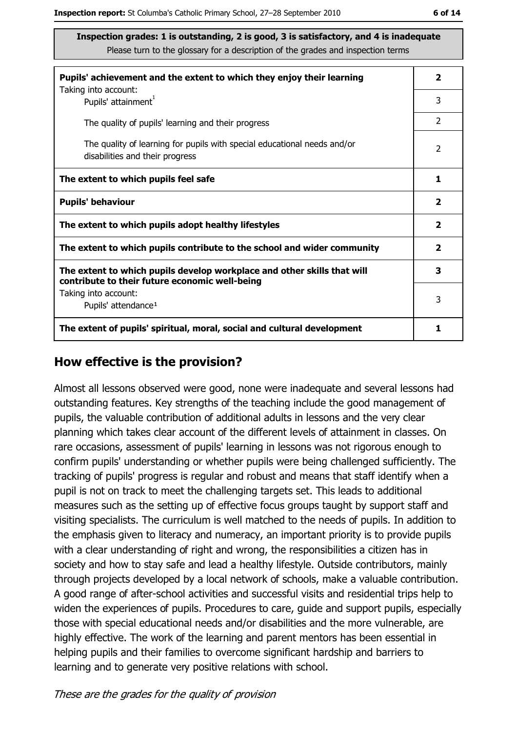| Pupils' achievement and the extent to which they enjoy their learning                                                     | $\overline{\mathbf{2}}$ |
|---------------------------------------------------------------------------------------------------------------------------|-------------------------|
| Taking into account:<br>Pupils' attainment <sup>1</sup>                                                                   | 3                       |
| The quality of pupils' learning and their progress                                                                        | $\mathcal{P}$           |
| The quality of learning for pupils with special educational needs and/or<br>disabilities and their progress               | $\overline{2}$          |
| The extent to which pupils feel safe                                                                                      | 1                       |
| <b>Pupils' behaviour</b>                                                                                                  | $\overline{\mathbf{2}}$ |
| The extent to which pupils adopt healthy lifestyles                                                                       | $\overline{\mathbf{2}}$ |
| The extent to which pupils contribute to the school and wider community                                                   | $\overline{\mathbf{2}}$ |
| The extent to which pupils develop workplace and other skills that will<br>contribute to their future economic well-being | 3                       |
| Taking into account:<br>Pupils' attendance <sup>1</sup>                                                                   | 3                       |
| The extent of pupils' spiritual, moral, social and cultural development                                                   | 1                       |

#### How effective is the provision?

Almost all lessons observed were good, none were inadequate and several lessons had outstanding features. Key strengths of the teaching include the good management of pupils, the valuable contribution of additional adults in lessons and the very clear planning which takes clear account of the different levels of attainment in classes. On rare occasions, assessment of pupils' learning in lessons was not rigorous enough to confirm pupils' understanding or whether pupils were being challenged sufficiently. The tracking of pupils' progress is regular and robust and means that staff identify when a pupil is not on track to meet the challenging targets set. This leads to additional measures such as the setting up of effective focus groups taught by support staff and visiting specialists. The curriculum is well matched to the needs of pupils. In addition to the emphasis given to literacy and numeracy, an important priority is to provide pupils with a clear understanding of right and wrong, the responsibilities a citizen has in society and how to stay safe and lead a healthy lifestyle. Outside contributors, mainly through projects developed by a local network of schools, make a valuable contribution. A good range of after-school activities and successful visits and residential trips help to widen the experiences of pupils. Procedures to care, guide and support pupils, especially those with special educational needs and/or disabilities and the more vulnerable, are highly effective. The work of the learning and parent mentors has been essential in helping pupils and their families to overcome significant hardship and barriers to learning and to generate very positive relations with school.

These are the grades for the quality of provision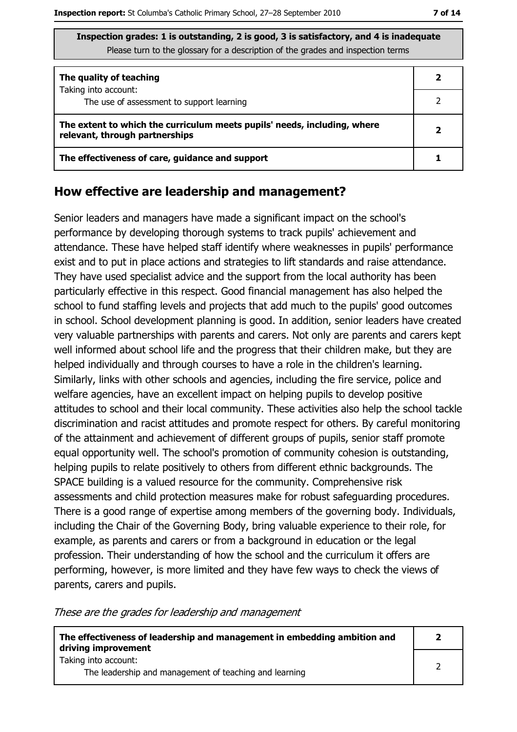| The quality of teaching                                                                                    |  |
|------------------------------------------------------------------------------------------------------------|--|
| Taking into account:<br>The use of assessment to support learning                                          |  |
| The extent to which the curriculum meets pupils' needs, including, where<br>relevant, through partnerships |  |
| The effectiveness of care, guidance and support                                                            |  |

#### How effective are leadership and management?

Senior leaders and managers have made a significant impact on the school's performance by developing thorough systems to track pupils' achievement and attendance. These have helped staff identify where weaknesses in pupils' performance exist and to put in place actions and strategies to lift standards and raise attendance. They have used specialist advice and the support from the local authority has been particularly effective in this respect. Good financial management has also helped the school to fund staffing levels and projects that add much to the pupils' good outcomes in school. School development planning is good. In addition, senior leaders have created very valuable partnerships with parents and carers. Not only are parents and carers kept well informed about school life and the progress that their children make, but they are helped individually and through courses to have a role in the children's learning. Similarly, links with other schools and agencies, including the fire service, police and welfare agencies, have an excellent impact on helping pupils to develop positive attitudes to school and their local community. These activities also help the school tackle discrimination and racist attitudes and promote respect for others. By careful monitoring of the attainment and achievement of different groups of pupils, senior staff promote equal opportunity well. The school's promotion of community cohesion is outstanding, helping pupils to relate positively to others from different ethnic backgrounds. The SPACE building is a valued resource for the community. Comprehensive risk assessments and child protection measures make for robust safeguarding procedures. There is a good range of expertise among members of the governing body. Individuals, including the Chair of the Governing Body, bring valuable experience to their role, for example, as parents and carers or from a background in education or the legal profession. Their understanding of how the school and the curriculum it offers are performing, however, is more limited and they have few ways to check the views of parents, carers and pupils.

These are the grades for leadership and management

| The effectiveness of leadership and management in embedding ambition and<br>driving improvement | כ |
|-------------------------------------------------------------------------------------------------|---|
| Taking into account:                                                                            |   |
| The leadership and management of teaching and learning                                          |   |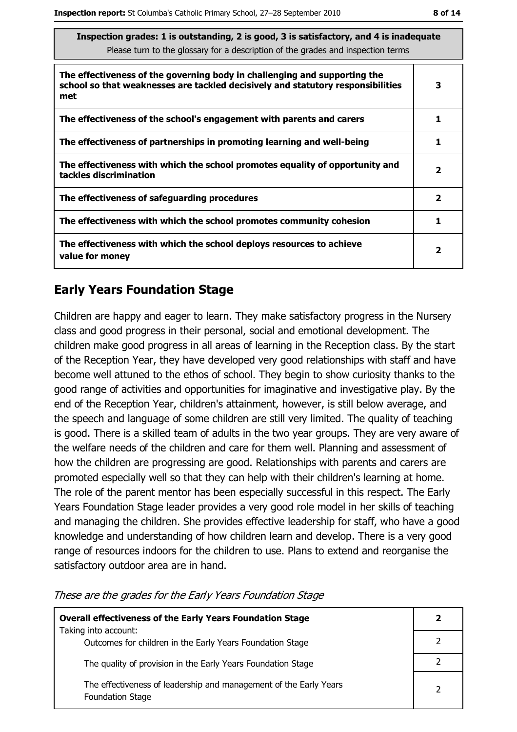| Inspection grades: I is outstanding, Z is good, 3 is satisfactory, and 4 is inadequate<br>Please turn to the glossary for a description of the grades and inspection terms |              |  |
|----------------------------------------------------------------------------------------------------------------------------------------------------------------------------|--------------|--|
| The effectiveness of the governing body in challenging and supporting the<br>school so that weaknesses are tackled decisively and statutory responsibilities<br>met        | 3            |  |
| The effectiveness of the school's engagement with parents and carers                                                                                                       | 1            |  |
| The effectiveness of partnerships in promoting learning and well-being                                                                                                     | 1            |  |
| The effectiveness with which the school promotes equality of opportunity and<br>tackles discrimination                                                                     | 2            |  |
| The effectiveness of safeguarding procedures                                                                                                                               | $\mathbf{2}$ |  |
| The effectiveness with which the school promotes community cohesion                                                                                                        | 1            |  |
| The effectiveness with which the school deploys resources to achieve<br>value for money                                                                                    | $\mathbf{2}$ |  |

## **Early Years Foundation Stage**

Children are happy and eager to learn. They make satisfactory progress in the Nursery class and good progress in their personal, social and emotional development. The children make good progress in all areas of learning in the Reception class. By the start of the Reception Year, they have developed very good relationships with staff and have become well attuned to the ethos of school. They begin to show curiosity thanks to the good range of activities and opportunities for imaginative and investigative play. By the end of the Reception Year, children's attainment, however, is still below average, and the speech and language of some children are still very limited. The quality of teaching is good. There is a skilled team of adults in the two year groups. They are very aware of the welfare needs of the children and care for them well. Planning and assessment of how the children are progressing are good. Relationships with parents and carers are promoted especially well so that they can help with their children's learning at home. The role of the parent mentor has been especially successful in this respect. The Early Years Foundation Stage leader provides a very good role model in her skills of teaching and managing the children. She provides effective leadership for staff, who have a good knowledge and understanding of how children learn and develop. There is a very good range of resources indoors for the children to use. Plans to extend and reorganise the satisfactory outdoor area are in hand.

| <b>Overall effectiveness of the Early Years Foundation Stage</b>                             | 2             |
|----------------------------------------------------------------------------------------------|---------------|
| Taking into account:<br>Outcomes for children in the Early Years Foundation Stage            |               |
| The quality of provision in the Early Years Foundation Stage                                 |               |
| The effectiveness of leadership and management of the Early Years<br><b>Foundation Stage</b> | $\mathcal{P}$ |

These are the grades for the Early Years Foundation Stage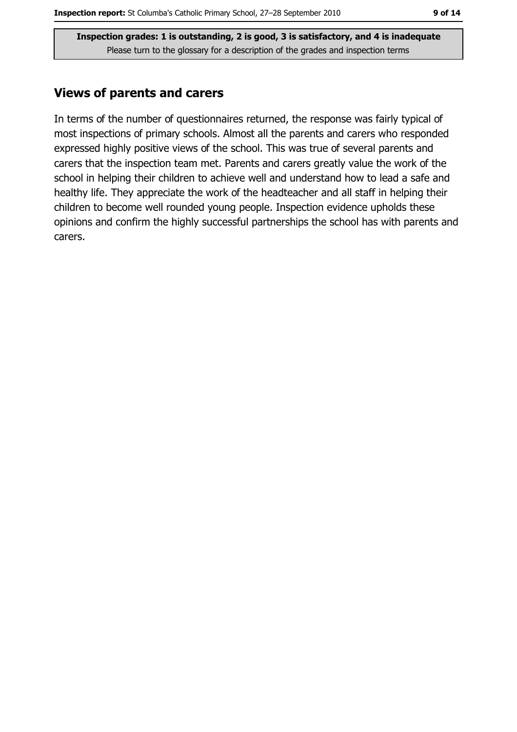## **Views of parents and carers**

In terms of the number of questionnaires returned, the response was fairly typical of most inspections of primary schools. Almost all the parents and carers who responded expressed highly positive views of the school. This was true of several parents and carers that the inspection team met. Parents and carers greatly value the work of the school in helping their children to achieve well and understand how to lead a safe and healthy life. They appreciate the work of the headteacher and all staff in helping their children to become well rounded young people. Inspection evidence upholds these opinions and confirm the highly successful partnerships the school has with parents and carers.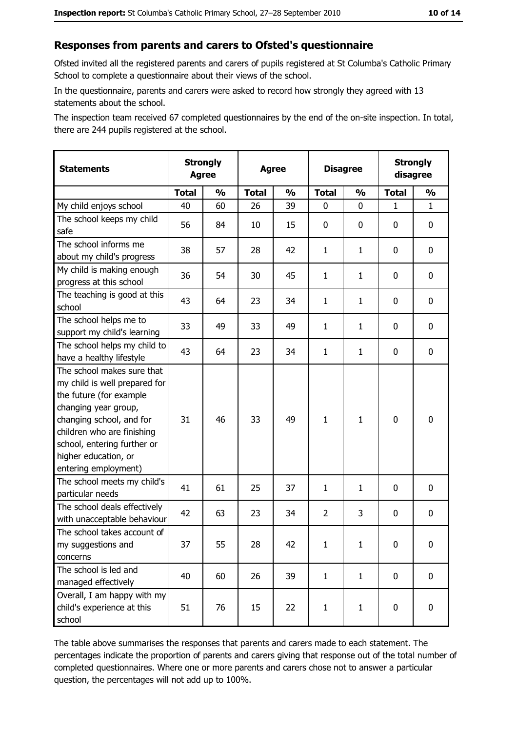#### Responses from parents and carers to Ofsted's questionnaire

Ofsted invited all the registered parents and carers of pupils registered at St Columba's Catholic Primary School to complete a questionnaire about their views of the school.

In the questionnaire, parents and carers were asked to record how strongly they agreed with 13 statements about the school.

The inspection team received 67 completed questionnaires by the end of the on-site inspection. In total, there are 244 pupils registered at the school.

| <b>Statements</b>                                                                                                                                                                                                                                       | <b>Strongly</b><br><b>Agree</b> |               | <b>Agree</b> |               |                | <b>Disagree</b> |              | <b>Strongly</b><br>disagree |  |
|---------------------------------------------------------------------------------------------------------------------------------------------------------------------------------------------------------------------------------------------------------|---------------------------------|---------------|--------------|---------------|----------------|-----------------|--------------|-----------------------------|--|
|                                                                                                                                                                                                                                                         | <b>Total</b>                    | $\frac{1}{2}$ | <b>Total</b> | $\frac{0}{0}$ | <b>Total</b>   | $\frac{1}{2}$   | <b>Total</b> | $\frac{1}{2}$               |  |
| My child enjoys school                                                                                                                                                                                                                                  | 40                              | 60            | 26           | 39            | 0              | 0               | $\mathbf{1}$ | $\mathbf{1}$                |  |
| The school keeps my child<br>safe                                                                                                                                                                                                                       | 56                              | 84            | 10           | 15            | $\mathbf 0$    | 0               | $\mathbf{0}$ | 0                           |  |
| The school informs me<br>about my child's progress                                                                                                                                                                                                      | 38                              | 57            | 28           | 42            | $\mathbf{1}$   | $\mathbf{1}$    | $\mathbf{0}$ | 0                           |  |
| My child is making enough<br>progress at this school                                                                                                                                                                                                    | 36                              | 54            | 30           | 45            | $\mathbf{1}$   | $\mathbf{1}$    | 0            | 0                           |  |
| The teaching is good at this<br>school                                                                                                                                                                                                                  | 43                              | 64            | 23           | 34            | $\mathbf{1}$   | $\mathbf{1}$    | 0            | 0                           |  |
| The school helps me to<br>support my child's learning                                                                                                                                                                                                   | 33                              | 49            | 33           | 49            | $\mathbf{1}$   | $\mathbf{1}$    | 0            | 0                           |  |
| The school helps my child to<br>have a healthy lifestyle                                                                                                                                                                                                | 43                              | 64            | 23           | 34            | $\mathbf{1}$   | $\mathbf{1}$    | 0            | 0                           |  |
| The school makes sure that<br>my child is well prepared for<br>the future (for example<br>changing year group,<br>changing school, and for<br>children who are finishing<br>school, entering further or<br>higher education, or<br>entering employment) | 31                              | 46            | 33           | 49            | $\mathbf{1}$   | $\mathbf{1}$    | 0            | 0                           |  |
| The school meets my child's<br>particular needs                                                                                                                                                                                                         | 41                              | 61            | 25           | 37            | $\mathbf{1}$   | $\mathbf{1}$    | 0            | 0                           |  |
| The school deals effectively<br>with unacceptable behaviour                                                                                                                                                                                             | 42                              | 63            | 23           | 34            | $\overline{2}$ | 3               | 0            | 0                           |  |
| The school takes account of<br>my suggestions and<br>concerns                                                                                                                                                                                           | 37                              | 55            | 28           | 42            | $\mathbf{1}$   | $\mathbf{1}$    | 0            | 0                           |  |
| The school is led and<br>managed effectively                                                                                                                                                                                                            | 40                              | 60            | 26           | 39            | $\mathbf{1}$   | $\mathbf{1}$    | 0            | $\mathbf 0$                 |  |
| Overall, I am happy with my<br>child's experience at this<br>school                                                                                                                                                                                     | 51                              | 76            | 15           | 22            | $\mathbf{1}$   | $\mathbf{1}$    | $\mathbf 0$  | 0                           |  |

The table above summarises the responses that parents and carers made to each statement. The percentages indicate the proportion of parents and carers giving that response out of the total number of completed questionnaires. Where one or more parents and carers chose not to answer a particular question, the percentages will not add up to 100%.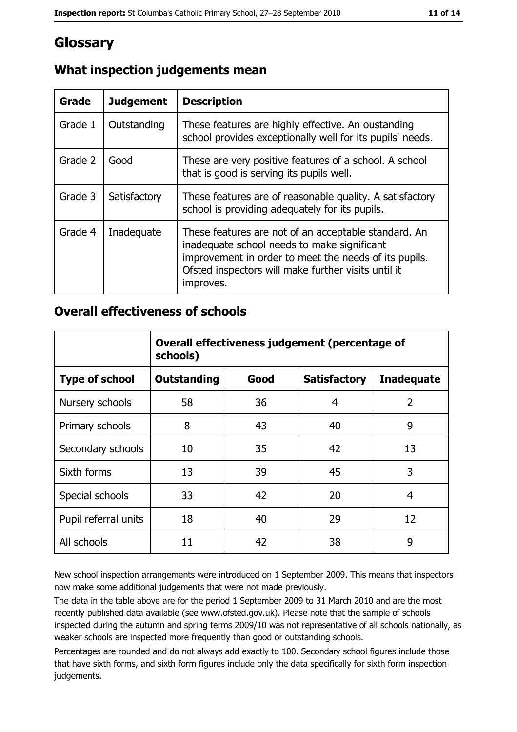# Glossary

| <b>Grade</b> | <b>Judgement</b> | <b>Description</b>                                                                                                                                                                                                               |
|--------------|------------------|----------------------------------------------------------------------------------------------------------------------------------------------------------------------------------------------------------------------------------|
| Grade 1      | Outstanding      | These features are highly effective. An oustanding<br>school provides exceptionally well for its pupils' needs.                                                                                                                  |
| Grade 2      | Good             | These are very positive features of a school. A school<br>that is good is serving its pupils well.                                                                                                                               |
| Grade 3      | Satisfactory     | These features are of reasonable quality. A satisfactory<br>school is providing adequately for its pupils.                                                                                                                       |
| Grade 4      | Inadequate       | These features are not of an acceptable standard. An<br>inadequate school needs to make significant<br>improvement in order to meet the needs of its pupils.<br>Ofsted inspectors will make further visits until it<br>improves. |

# What inspection judgements mean

## **Overall effectiveness of schools**

|                       | Overall effectiveness judgement (percentage of<br>schools) |      |                     |                   |
|-----------------------|------------------------------------------------------------|------|---------------------|-------------------|
| <b>Type of school</b> | <b>Outstanding</b>                                         | Good | <b>Satisfactory</b> | <b>Inadequate</b> |
| Nursery schools       | 58                                                         | 36   | 4                   | 2                 |
| Primary schools       | 8                                                          | 43   | 40                  | 9                 |
| Secondary schools     | 10                                                         | 35   | 42                  | 13                |
| Sixth forms           | 13                                                         | 39   | 45                  | 3                 |
| Special schools       | 33                                                         | 42   | 20                  | 4                 |
| Pupil referral units  | 18                                                         | 40   | 29                  | 12                |
| All schools           | 11                                                         | 42   | 38                  | 9                 |

New school inspection arrangements were introduced on 1 September 2009. This means that inspectors now make some additional judgements that were not made previously.

The data in the table above are for the period 1 September 2009 to 31 March 2010 and are the most recently published data available (see www.ofsted.gov.uk). Please note that the sample of schools inspected during the autumn and spring terms 2009/10 was not representative of all schools nationally, as weaker schools are inspected more frequently than good or outstanding schools.

Percentages are rounded and do not always add exactly to 100. Secondary school figures include those that have sixth forms, and sixth form figures include only the data specifically for sixth form inspection judgements.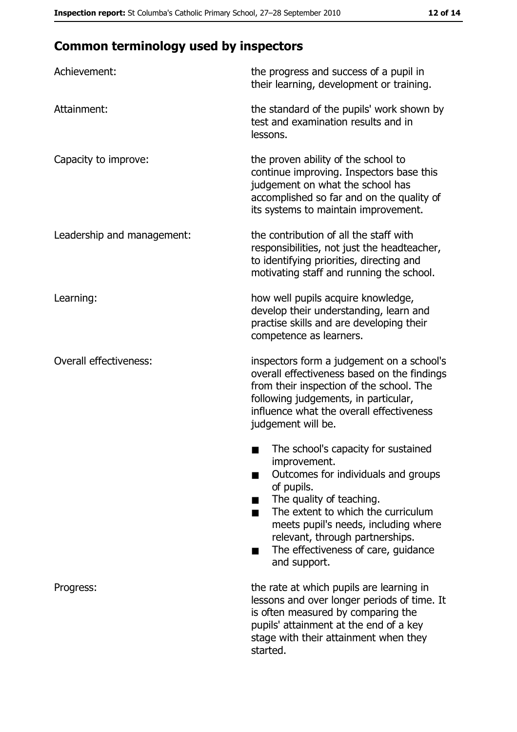# **Common terminology used by inspectors**

| Achievement:                  | the progress and success of a pupil in<br>their learning, development or training.                                                                                                                                                                                                                           |
|-------------------------------|--------------------------------------------------------------------------------------------------------------------------------------------------------------------------------------------------------------------------------------------------------------------------------------------------------------|
| Attainment:                   | the standard of the pupils' work shown by<br>test and examination results and in<br>lessons.                                                                                                                                                                                                                 |
| Capacity to improve:          | the proven ability of the school to<br>continue improving. Inspectors base this<br>judgement on what the school has<br>accomplished so far and on the quality of<br>its systems to maintain improvement.                                                                                                     |
| Leadership and management:    | the contribution of all the staff with<br>responsibilities, not just the headteacher,<br>to identifying priorities, directing and<br>motivating staff and running the school.                                                                                                                                |
| Learning:                     | how well pupils acquire knowledge,<br>develop their understanding, learn and<br>practise skills and are developing their<br>competence as learners.                                                                                                                                                          |
| <b>Overall effectiveness:</b> | inspectors form a judgement on a school's<br>overall effectiveness based on the findings<br>from their inspection of the school. The<br>following judgements, in particular,<br>influence what the overall effectiveness<br>judgement will be.                                                               |
|                               | The school's capacity for sustained<br>improvement.<br>Outcomes for individuals and groups<br>of pupils.<br>The quality of teaching.<br>The extent to which the curriculum<br>meets pupil's needs, including where<br>relevant, through partnerships.<br>The effectiveness of care, guidance<br>and support. |
| Progress:                     | the rate at which pupils are learning in<br>lessons and over longer periods of time. It<br>is often measured by comparing the<br>pupils' attainment at the end of a key<br>stage with their attainment when they<br>started.                                                                                 |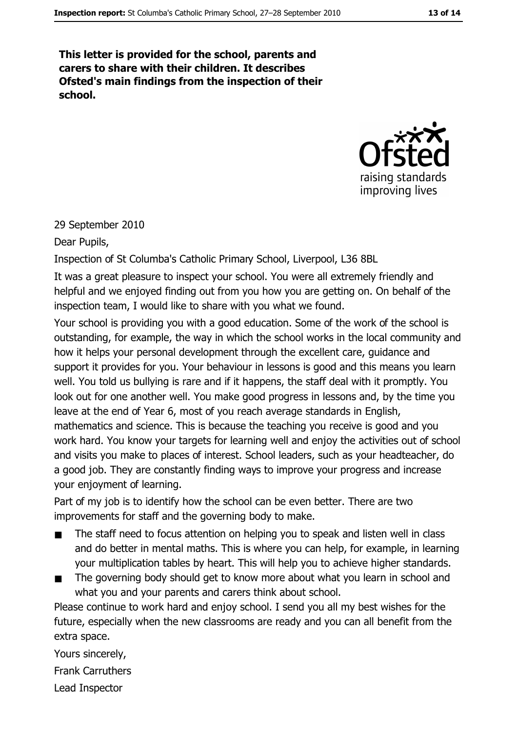This letter is provided for the school, parents and carers to share with their children. It describes Ofsted's main findings from the inspection of their school.



#### 29 September 2010

#### Dear Pupils,

Inspection of St Columba's Catholic Primary School, Liverpool, L36 8BL

It was a great pleasure to inspect your school. You were all extremely friendly and helpful and we enjoyed finding out from you how you are getting on. On behalf of the inspection team, I would like to share with you what we found.

Your school is providing you with a good education. Some of the work of the school is outstanding, for example, the way in which the school works in the local community and how it helps your personal development through the excellent care, guidance and support it provides for you. Your behaviour in lessons is good and this means you learn well. You told us bullying is rare and if it happens, the staff deal with it promptly. You look out for one another well. You make good progress in lessons and, by the time you leave at the end of Year 6, most of you reach average standards in English, mathematics and science. This is because the teaching you receive is good and you work hard. You know your targets for learning well and enjoy the activities out of school and visits you make to places of interest. School leaders, such as your headteacher, do a good job. They are constantly finding ways to improve your progress and increase your enjoyment of learning.

Part of my job is to identify how the school can be even better. There are two improvements for staff and the governing body to make.

- The staff need to focus attention on helping you to speak and listen well in class  $\blacksquare$ and do better in mental maths. This is where you can help, for example, in learning your multiplication tables by heart. This will help you to achieve higher standards.
- The governing body should get to know more about what you learn in school and what you and your parents and carers think about school.

Please continue to work hard and enjoy school. I send you all my best wishes for the future, especially when the new classrooms are ready and you can all benefit from the extra space.

Yours sincerely. **Frank Carruthers** Lead Inspector